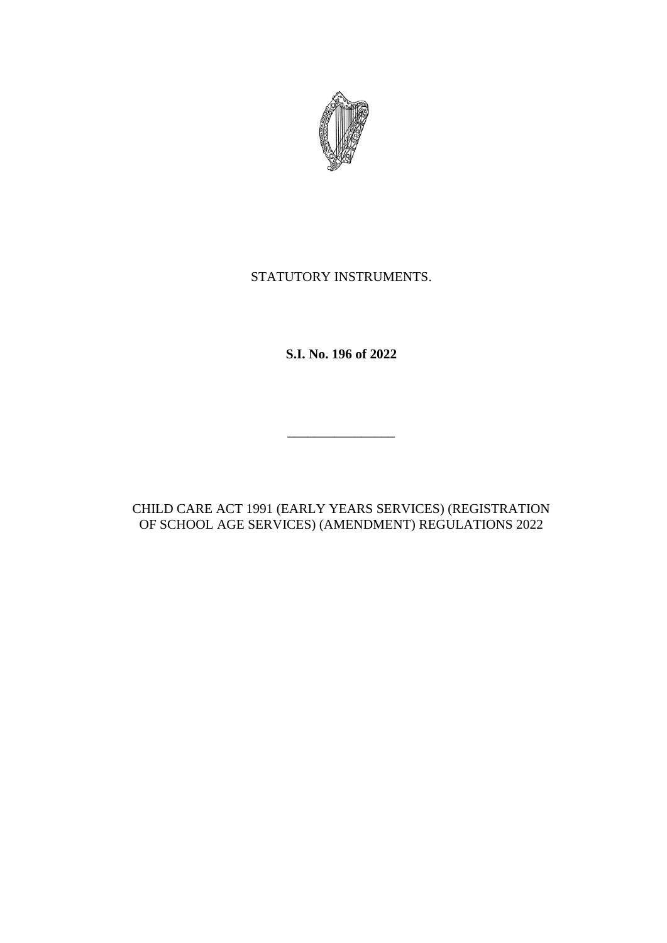

# STATUTORY INSTRUMENTS.

**S.I. No. 196 of 2022**

\_\_\_\_\_\_\_\_\_\_\_\_\_\_\_\_

CHILD CARE ACT 1991 (EARLY YEARS SERVICES) (REGISTRATION OF SCHOOL AGE SERVICES) (AMENDMENT) REGULATIONS 2022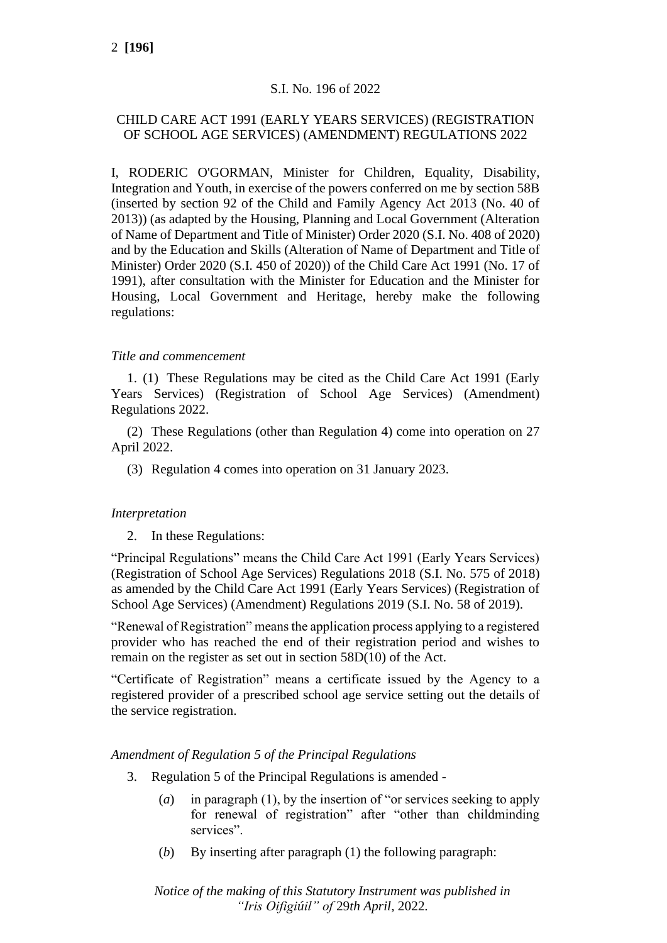# S.I. No. 196 of 2022

# CHILD CARE ACT 1991 (EARLY YEARS SERVICES) (REGISTRATION OF SCHOOL AGE SERVICES) (AMENDMENT) REGULATIONS 2022

I, RODERIC O'GORMAN, Minister for Children, Equality, Disability, Integration and Youth, in exercise of the powers conferred on me by section 58B (inserted by section 92 of the Child and Family Agency Act 2013 (No. 40 of 2013)) (as adapted by the Housing, Planning and Local Government (Alteration of Name of Department and Title of Minister) Order 2020 (S.I. No. 408 of 2020) and by the Education and Skills (Alteration of Name of Department and Title of Minister) Order 2020 (S.I. 450 of 2020)) of the Child Care Act 1991 (No. 17 of 1991), after consultation with the Minister for Education and the Minister for Housing, Local Government and Heritage, hereby make the following regulations:

# *Title and commencement*

1. (1) These Regulations may be cited as the Child Care Act 1991 (Early Years Services) (Registration of School Age Services) (Amendment) Regulations 2022.

(2) These Regulations (other than Regulation 4) come into operation on 27 April 2022.

(3) Regulation 4 comes into operation on 31 January 2023.

# *Interpretation*

2. In these Regulations:

"Principal Regulations" means the Child Care Act 1991 (Early Years Services) (Registration of School Age Services) Regulations 2018 (S.I. No. 575 of 2018) as amended by the Child Care Act 1991 (Early Years Services) (Registration of School Age Services) (Amendment) Regulations 2019 (S.I. No. 58 of 2019).

"Renewal of Registration" means the application process applying to a registered provider who has reached the end of their registration period and wishes to remain on the register as set out in section 58D(10) of the Act.

"Certificate of Registration" means a certificate issued by the Agency to a registered provider of a prescribed school age service setting out the details of the service registration.

# *Amendment of Regulation 5 of the Principal Regulations*

- 3. Regulation 5 of the Principal Regulations is amended
	- (*a*) in paragraph (1), by the insertion of "or services seeking to apply for renewal of registration" after "other than childminding services".
	- (*b*) By inserting after paragraph (1) the following paragraph:

*Notice of the making of this Statutory Instrument was published in "Iris Oifigiúil" of* 29*th April,* 2022*.*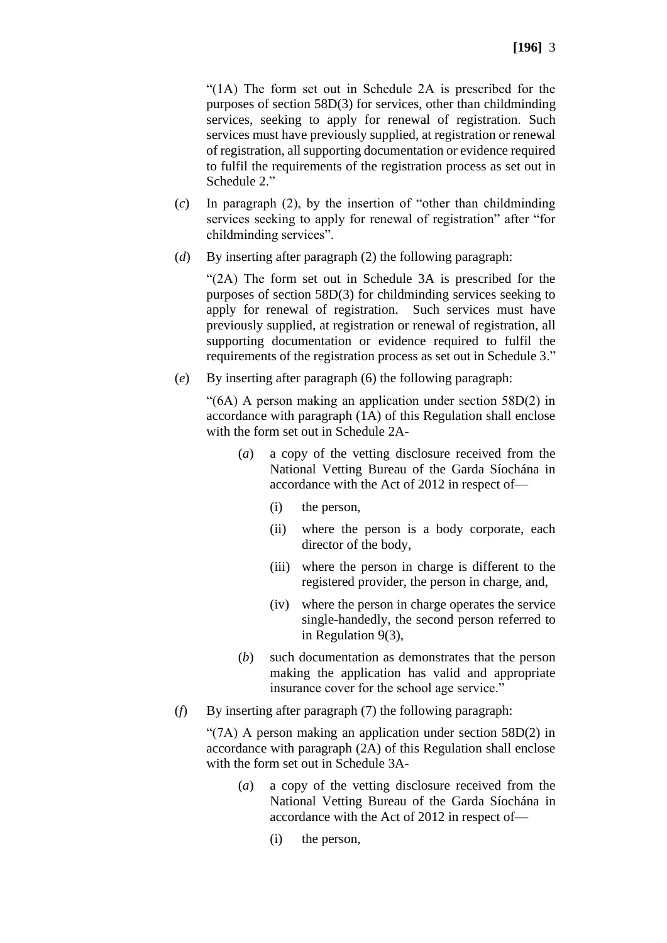"(1A) The form set out in Schedule 2A is prescribed for the purposes of section 58D(3) for services, other than childminding services, seeking to apply for renewal of registration. Such services must have previously supplied, at registration or renewal of registration, all supporting documentation or evidence required to fulfil the requirements of the registration process as set out in Schedule 2."

- (*c*) In paragraph (2), by the insertion of "other than childminding services seeking to apply for renewal of registration" after "for childminding services".
- (*d*) By inserting after paragraph (2) the following paragraph:

"(2A) The form set out in Schedule 3A is prescribed for the purposes of section 58D(3) for childminding services seeking to apply for renewal of registration. Such services must have previously supplied, at registration or renewal of registration, all supporting documentation or evidence required to fulfil the requirements of the registration process as set out in Schedule 3."

(*e*) By inserting after paragraph (6) the following paragraph:

"(6A) A person making an application under section 58D(2) in accordance with paragraph (1A) of this Regulation shall enclose with the form set out in Schedule 2A-

- (*a*) a copy of the vetting disclosure received from the National Vetting Bureau of the Garda Síochána in accordance with the Act of 2012 in respect of—
	- (i) the person,
	- (ii) where the person is a body corporate, each director of the body,
	- (iii) where the person in charge is different to the registered provider, the person in charge, and,
	- (iv) where the person in charge operates the service single-handedly, the second person referred to in Regulation 9(3),
- (*b*) such documentation as demonstrates that the person making the application has valid and appropriate insurance cover for the school age service."
- (*f*) By inserting after paragraph (7) the following paragraph:

"(7A) A person making an application under section 58D(2) in accordance with paragraph (2A) of this Regulation shall enclose with the form set out in Schedule 3A-

- (*a*) a copy of the vetting disclosure received from the National Vetting Bureau of the Garda Síochána in accordance with the Act of 2012 in respect of—
	- (i) the person,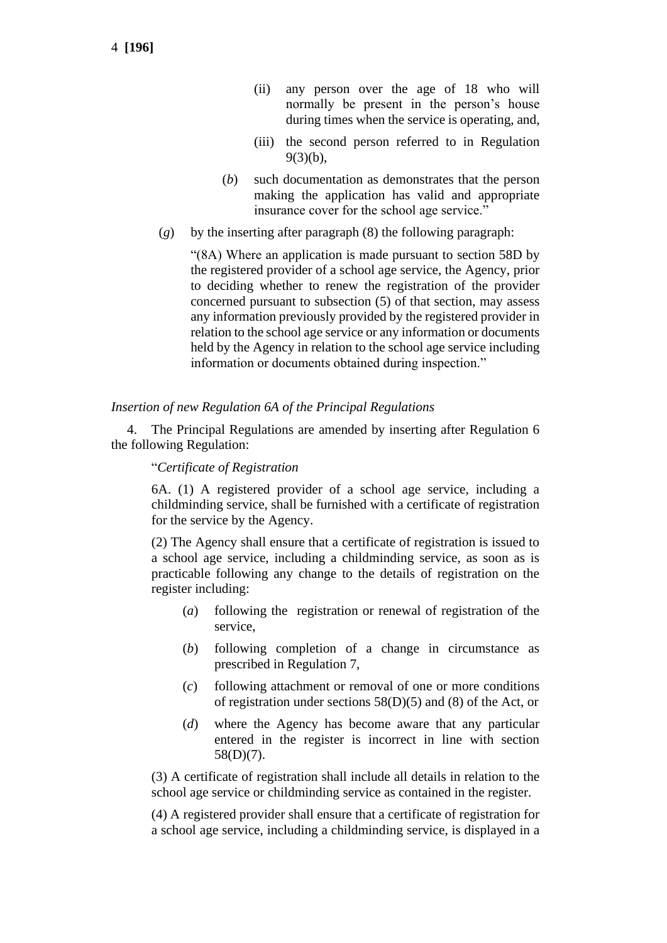- (ii) any person over the age of 18 who will normally be present in the person's house during times when the service is operating, and,
- (iii) the second person referred to in Regulation 9(3)(b),
- (*b*) such documentation as demonstrates that the person making the application has valid and appropriate insurance cover for the school age service."
- (*g*) by the inserting after paragraph (8) the following paragraph:

"(8A) Where an application is made pursuant to section 58D by the registered provider of a school age service, the Agency, prior to deciding whether to renew the registration of the provider concerned pursuant to subsection (5) of that section, may assess any information previously provided by the registered provider in relation to the school age service or any information or documents held by the Agency in relation to the school age service including information or documents obtained during inspection."

#### *Insertion of new Regulation 6A of the Principal Regulations*

4. The Principal Regulations are amended by inserting after Regulation 6 the following Regulation:

#### "*Certificate of Registration*

6A. (1) A registered provider of a school age service, including a childminding service, shall be furnished with a certificate of registration for the service by the Agency.

(2) The Agency shall ensure that a certificate of registration is issued to a school age service, including a childminding service, as soon as is practicable following any change to the details of registration on the register including:

- (*a*) following the registration or renewal of registration of the service,
- (*b*) following completion of a change in circumstance as prescribed in Regulation 7,
- (*c*) following attachment or removal of one or more conditions of registration under sections 58(D)(5) and (8) of the Act, or
- (*d*) where the Agency has become aware that any particular entered in the register is incorrect in line with section 58(D)(7).

(3) A certificate of registration shall include all details in relation to the school age service or childminding service as contained in the register.

(4) A registered provider shall ensure that a certificate of registration for a school age service, including a childminding service, is displayed in a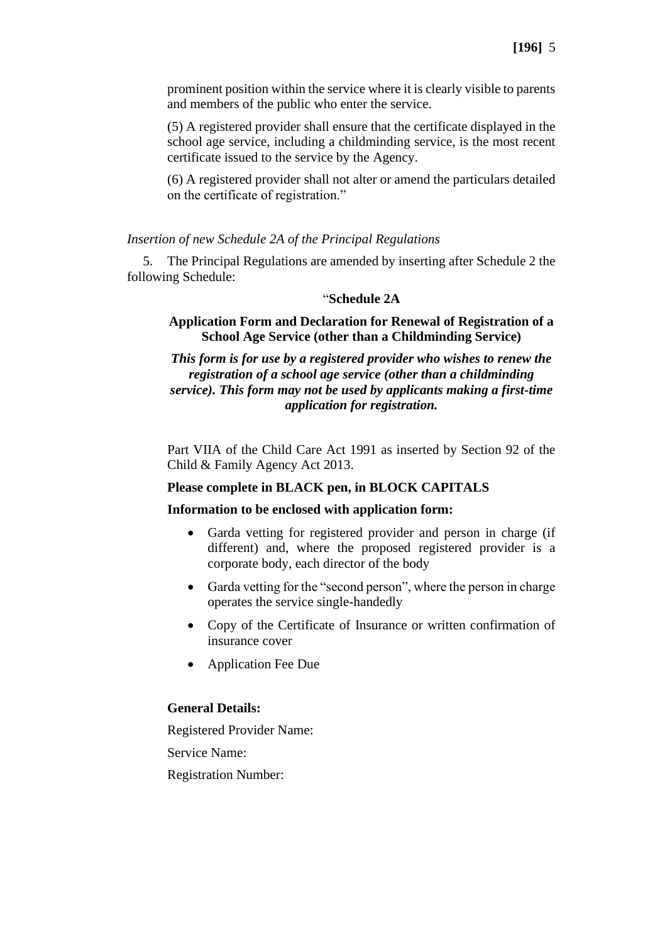prominent position within the service where it is clearly visible to parents and members of the public who enter the service.

(5) A registered provider shall ensure that the certificate displayed in the school age service, including a childminding service, is the most recent certificate issued to the service by the Agency.

(6) A registered provider shall not alter or amend the particulars detailed on the certificate of registration."

#### *Insertion of new Schedule 2A of the Principal Regulations*

5. The Principal Regulations are amended by inserting after Schedule 2 the following Schedule:

#### "**Schedule 2A**

### **Application Form and Declaration for Renewal of Registration of a School Age Service (other than a Childminding Service)**

*This form is for use by a registered provider who wishes to renew the registration of a school age service (other than a childminding service). This form may not be used by applicants making a first-time application for registration.*

Part VIIA of the Child Care Act 1991 as inserted by Section 92 of the Child & Family Agency Act 2013.

#### **Please complete in BLACK pen, in BLOCK CAPITALS**

#### **Information to be enclosed with application form:**

- Garda vetting for registered provider and person in charge (if different) and, where the proposed registered provider is a corporate body, each director of the body
- Garda vetting for the "second person", where the person in charge operates the service single-handedly
- Copy of the Certificate of Insurance or written confirmation of insurance cover
- Application Fee Due

# **General Details:**

Registered Provider Name: Service Name:

Registration Number: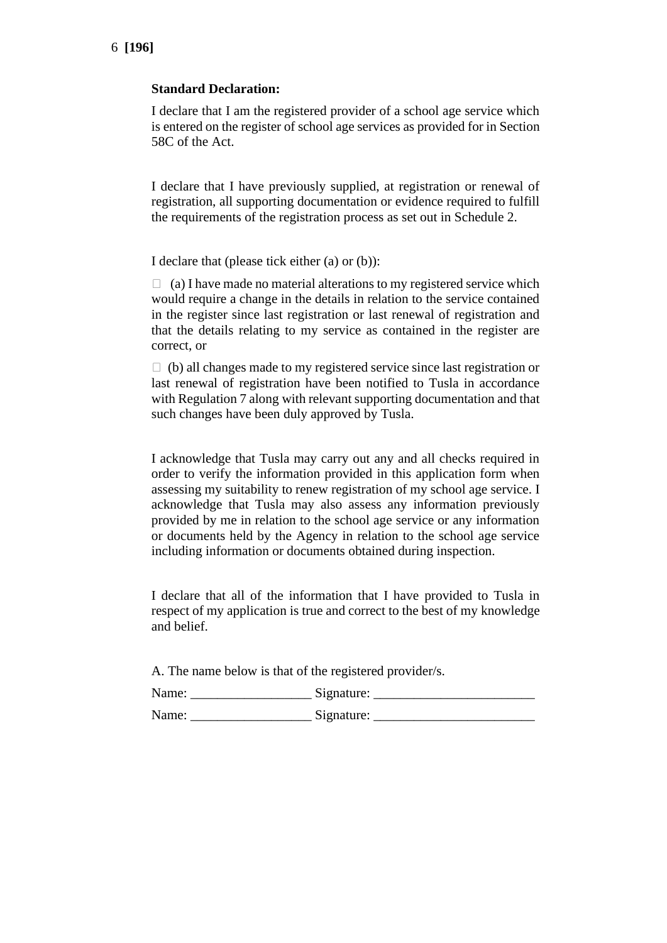### **Standard Declaration:**

I declare that I am the registered provider of a school age service which is entered on the register of school age services as provided for in Section 58C of the Act.

I declare that I have previously supplied, at registration or renewal of registration, all supporting documentation or evidence required to fulfill the requirements of the registration process as set out in Schedule 2.

I declare that (please tick either (a) or (b)):

 $\Box$  (a) I have made no material alterations to my registered service which would require a change in the details in relation to the service contained in the register since last registration or last renewal of registration and that the details relating to my service as contained in the register are correct, or

 $\Box$  (b) all changes made to my registered service since last registration or last renewal of registration have been notified to Tusla in accordance with Regulation 7 along with relevant supporting documentation and that such changes have been duly approved by Tusla.

I acknowledge that Tusla may carry out any and all checks required in order to verify the information provided in this application form when assessing my suitability to renew registration of my school age service. I acknowledge that Tusla may also assess any information previously provided by me in relation to the school age service or any information or documents held by the Agency in relation to the school age service including information or documents obtained during inspection.

I declare that all of the information that I have provided to Tusla in respect of my application is true and correct to the best of my knowledge and belief.

A. The name below is that of the registered provider/s.

| Name: | Signature: |
|-------|------------|
| Name: | Signature: |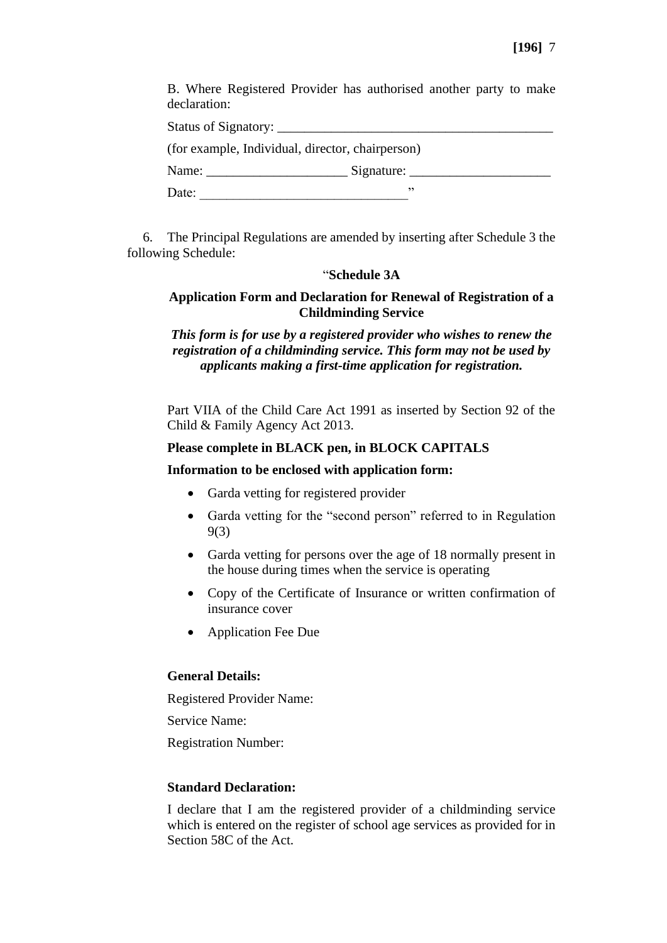B. Where Registered Provider has authorised another party to make declaration:

| <b>Status of Signatory:</b> |
|-----------------------------|
|                             |

(for example, Individual, director, chairperson)

| Name: | Signature: |
|-------|------------|
| Date: |            |

6. The Principal Regulations are amended by inserting after Schedule 3 the following Schedule:

### "**Schedule 3A**

# **Application Form and Declaration for Renewal of Registration of a Childminding Service**

*This form is for use by a registered provider who wishes to renew the registration of a childminding service. This form may not be used by applicants making a first-time application for registration.*

Part VIIA of the Child Care Act 1991 as inserted by Section 92 of the Child & Family Agency Act 2013.

# **Please complete in BLACK pen, in BLOCK CAPITALS**

#### **Information to be enclosed with application form:**

- Garda vetting for registered provider
- Garda vetting for the "second person" referred to in Regulation 9(3)
- Garda vetting for persons over the age of 18 normally present in the house during times when the service is operating
- Copy of the Certificate of Insurance or written confirmation of insurance cover
- Application Fee Due

# **General Details:**

Registered Provider Name:

Service Name:

Registration Number:

# **Standard Declaration:**

I declare that I am the registered provider of a childminding service which is entered on the register of school age services as provided for in Section 58C of the Act.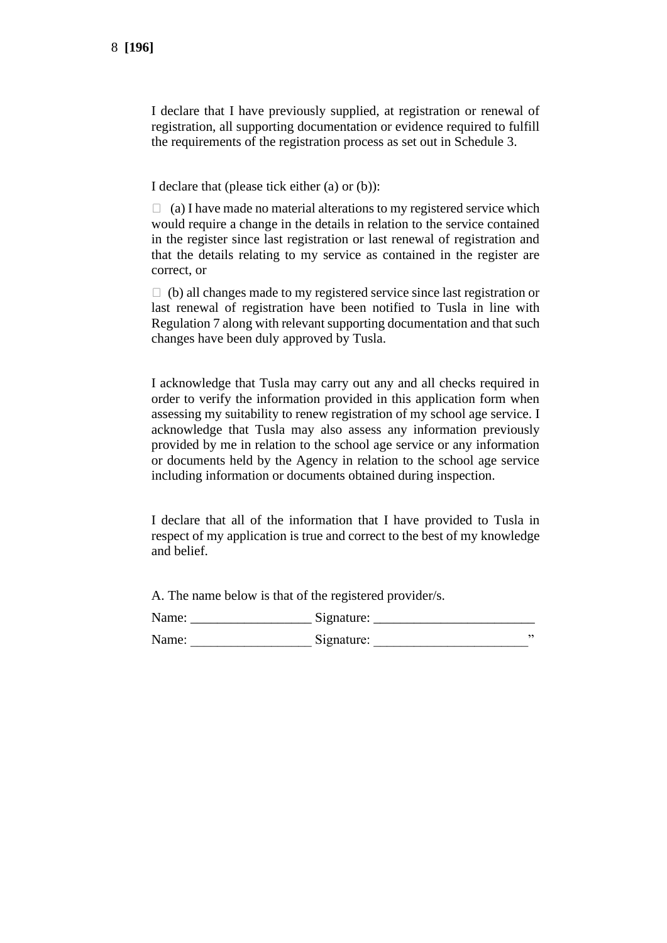I declare that I have previously supplied, at registration or renewal of registration, all supporting documentation or evidence required to fulfill the requirements of the registration process as set out in Schedule 3.

I declare that (please tick either (a) or (b)):

 $\Box$  (a) I have made no material alterations to my registered service which would require a change in the details in relation to the service contained in the register since last registration or last renewal of registration and that the details relating to my service as contained in the register are correct, or

 $\Box$  (b) all changes made to my registered service since last registration or last renewal of registration have been notified to Tusla in line with Regulation 7 along with relevant supporting documentation and that such changes have been duly approved by Tusla.

I acknowledge that Tusla may carry out any and all checks required in order to verify the information provided in this application form when assessing my suitability to renew registration of my school age service. I acknowledge that Tusla may also assess any information previously provided by me in relation to the school age service or any information or documents held by the Agency in relation to the school age service including information or documents obtained during inspection.

I declare that all of the information that I have provided to Tusla in respect of my application is true and correct to the best of my knowledge and belief.

A. The name below is that of the registered provider/s.

| Name: | Signature: |  |
|-------|------------|--|
| Name: | Signature: |  |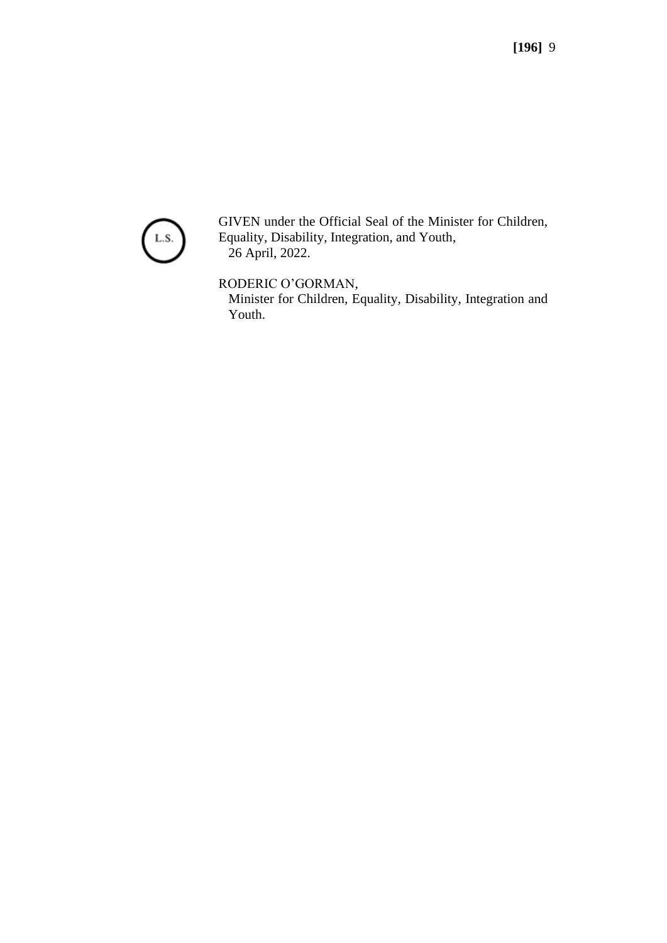

GIVEN under the Official Seal of the Minister for Children, Equality, Disability, Integration, and Youth, 26 April, 2022.

RODERIC O'GORMAN,

Minister for Children, Equality, Disability, Integration and Youth.